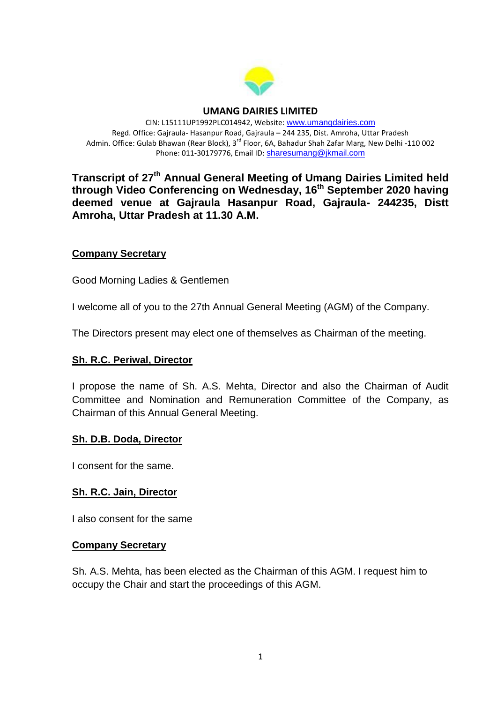

#### **UMANG DAIRIES LIMITED**

CIN: L15111UP1992PLC014942, Website: [www.umangdairies.com](http://www.umangdairies.com/) Regd. Office: Gajraula- Hasanpur Road, Gajraula – 244 235, Dist. Amroha, Uttar Pradesh Admin. Office: Gulab Bhawan (Rear Block), 3<sup>rd</sup> Floor, 6A, Bahadur Shah Zafar Marg, New Delhi -110 002 Phone: 011-30179776, Email ID: <sharesumang@jkmail.com>

**Transcript of 27th Annual General Meeting of Umang Dairies Limited held through Video Conferencing on Wednesday, 16th September 2020 having deemed venue at Gajraula Hasanpur Road, Gajraula- 244235, Distt Amroha, Uttar Pradesh at 11.30 A.M.** 

#### **Company Secretary**

Good Morning Ladies & Gentlemen

I welcome all of you to the 27th Annual General Meeting (AGM) of the Company.

The Directors present may elect one of themselves as Chairman of the meeting.

#### **Sh. R.C. Periwal, Director**

I propose the name of Sh. A.S. Mehta, Director and also the Chairman of Audit Committee and Nomination and Remuneration Committee of the Company, as Chairman of this Annual General Meeting.

#### **Sh. D.B. Doda, Director**

I consent for the same.

#### **Sh. R.C. Jain, Director**

I also consent for the same

#### **Company Secretary**

Sh. A.S. Mehta, has been elected as the Chairman of this AGM. I request him to occupy the Chair and start the proceedings of this AGM.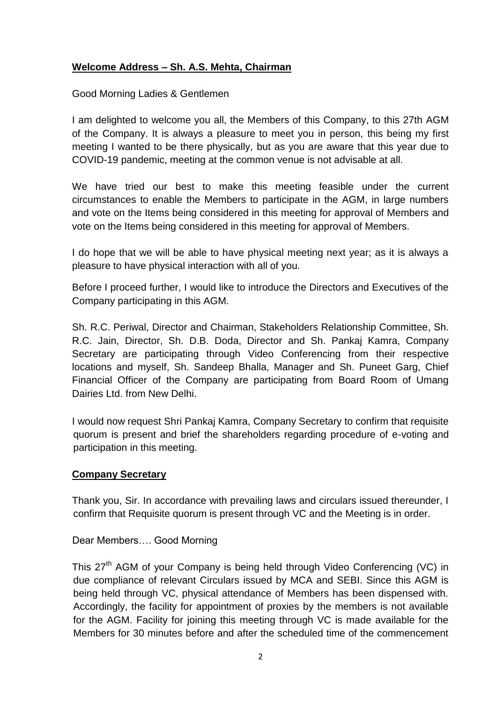### **Welcome Address – Sh. A.S. Mehta, Chairman**

Good Morning Ladies & Gentlemen

I am delighted to welcome you all, the Members of this Company, to this 27th AGM of the Company. It is always a pleasure to meet you in person, this being my first meeting I wanted to be there physically, but as you are aware that this year due to COVID-19 pandemic, meeting at the common venue is not advisable at all.

We have tried our best to make this meeting feasible under the current circumstances to enable the Members to participate in the AGM, in large numbers and vote on the Items being considered in this meeting for approval of Members and vote on the Items being considered in this meeting for approval of Members.

I do hope that we will be able to have physical meeting next year; as it is always a pleasure to have physical interaction with all of you.

Before I proceed further, I would like to introduce the Directors and Executives of the Company participating in this AGM.

Sh. R.C. Periwal, Director and Chairman, Stakeholders Relationship Committee, Sh. R.C. Jain, Director, Sh. D.B. Doda, Director and Sh. Pankaj Kamra, Company Secretary are participating through Video Conferencing from their respective locations and myself, Sh. Sandeep Bhalla, Manager and Sh. Puneet Garg, Chief Financial Officer of the Company are participating from Board Room of Umang Dairies Ltd. from New Delhi.

I would now request Shri Pankaj Kamra, Company Secretary to confirm that requisite quorum is present and brief the shareholders regarding procedure of e-voting and participation in this meeting.

#### **Company Secretary**

Thank you, Sir. In accordance with prevailing laws and circulars issued thereunder, I confirm that Requisite quorum is present through VC and the Meeting is in order.

Dear Members…. Good Morning

This 27<sup>th</sup> AGM of your Company is being held through Video Conferencing (VC) in due compliance of relevant Circulars issued by MCA and SEBI. Since this AGM is being held through VC, physical attendance of Members has been dispensed with. Accordingly, the facility for appointment of proxies by the members is not available for the AGM. Facility for joining this meeting through VC is made available for the Members for 30 minutes before and after the scheduled time of the commencement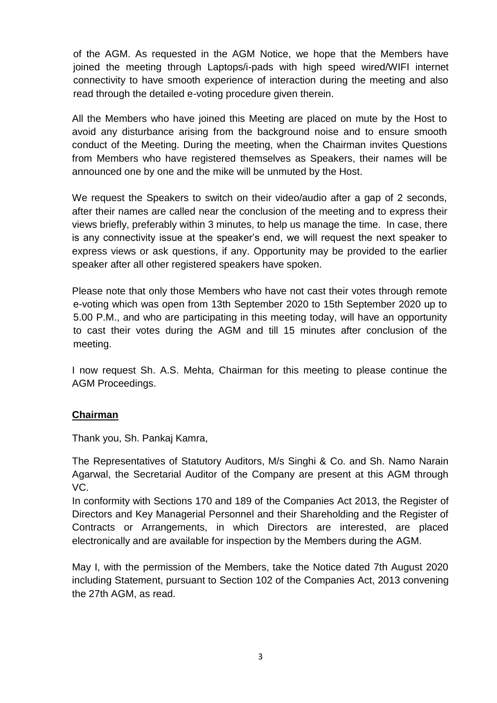of the AGM. As requested in the AGM Notice, we hope that the Members have joined the meeting through Laptops/i-pads with high speed wired/WIFI internet connectivity to have smooth experience of interaction during the meeting and also read through the detailed e-voting procedure given therein.

All the Members who have joined this Meeting are placed on mute by the Host to avoid any disturbance arising from the background noise and to ensure smooth conduct of the Meeting. During the meeting, when the Chairman invites Questions from Members who have registered themselves as Speakers, their names will be announced one by one and the mike will be unmuted by the Host.

We request the Speakers to switch on their video/audio after a gap of 2 seconds, after their names are called near the conclusion of the meeting and to express their views briefly, preferably within 3 minutes, to help us manage the time. In case, there is any connectivity issue at the speaker's end, we will request the next speaker to express views or ask questions, if any. Opportunity may be provided to the earlier speaker after all other registered speakers have spoken.

Please note that only those Members who have not cast their votes through remote e-voting which was open from 13th September 2020 to 15th September 2020 up to 5.00 P.M., and who are participating in this meeting today, will have an opportunity to cast their votes during the AGM and till 15 minutes after conclusion of the meeting.

I now request Sh. A.S. Mehta, Chairman for this meeting to please continue the AGM Proceedings.

## **Chairman**

Thank you, Sh. Pankaj Kamra,

The Representatives of Statutory Auditors, M/s Singhi & Co. and Sh. Namo Narain Agarwal, the Secretarial Auditor of the Company are present at this AGM through VC.

In conformity with Sections 170 and 189 of the Companies Act 2013, the Register of Directors and Key Managerial Personnel and their Shareholding and the Register of Contracts or Arrangements, in which Directors are interested, are placed electronically and are available for inspection by the Members during the AGM.

May I, with the permission of the Members, take the Notice dated 7th August 2020 including Statement, pursuant to Section 102 of the Companies Act, 2013 convening the 27th AGM, as read.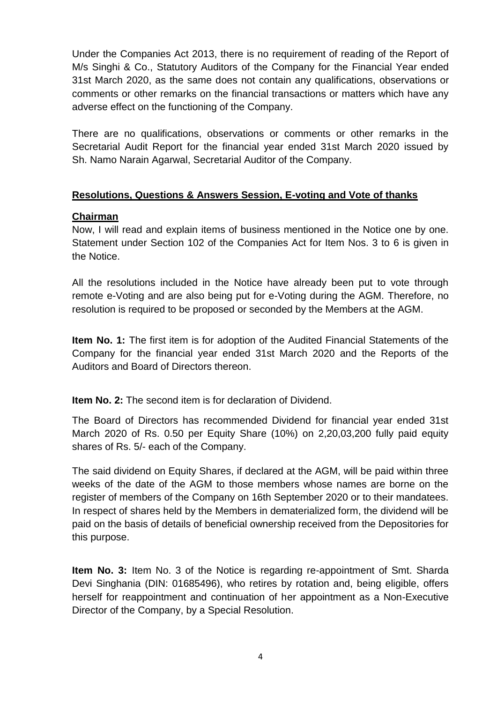Under the Companies Act 2013, there is no requirement of reading of the Report of M/s Singhi & Co., Statutory Auditors of the Company for the Financial Year ended 31st March 2020, as the same does not contain any qualifications, observations or comments or other remarks on the financial transactions or matters which have any adverse effect on the functioning of the Company.

There are no qualifications, observations or comments or other remarks in the Secretarial Audit Report for the financial year ended 31st March 2020 issued by Sh. Namo Narain Agarwal, Secretarial Auditor of the Company.

## **Resolutions, Questions & Answers Session, E-voting and Vote of thanks**

## **Chairman**

Now, I will read and explain items of business mentioned in the Notice one by one. Statement under Section 102 of the Companies Act for Item Nos. 3 to 6 is given in the Notice.

All the resolutions included in the Notice have already been put to vote through remote e-Voting and are also being put for e-Voting during the AGM. Therefore, no resolution is required to be proposed or seconded by the Members at the AGM.

**Item No. 1:** The first item is for adoption of the Audited Financial Statements of the Company for the financial year ended 31st March 2020 and the Reports of the Auditors and Board of Directors thereon.

**Item No. 2:** The second item is for declaration of Dividend.

The Board of Directors has recommended Dividend for financial year ended 31st March 2020 of Rs. 0.50 per Equity Share (10%) on 2,20,03,200 fully paid equity shares of Rs. 5/- each of the Company.

The said dividend on Equity Shares, if declared at the AGM, will be paid within three weeks of the date of the AGM to those members whose names are borne on the register of members of the Company on 16th September 2020 or to their mandatees. In respect of shares held by the Members in dematerialized form, the dividend will be paid on the basis of details of beneficial ownership received from the Depositories for this purpose.

**Item No. 3:** Item No. 3 of the Notice is regarding re-appointment of Smt. Sharda Devi Singhania (DIN: 01685496), who retires by rotation and, being eligible, offers herself for reappointment and continuation of her appointment as a Non-Executive Director of the Company, by a Special Resolution.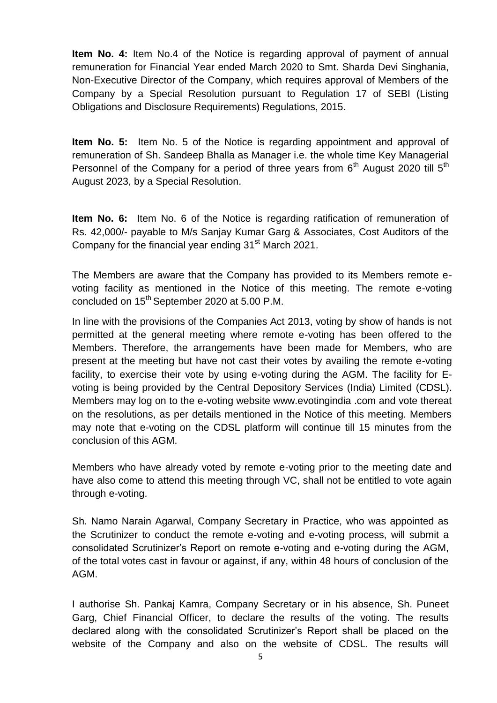**Item No. 4:** Item No.4 of the Notice is regarding approval of payment of annual remuneration for Financial Year ended March 2020 to Smt. Sharda Devi Singhania, Non-Executive Director of the Company, which requires approval of Members of the Company by a Special Resolution pursuant to Regulation 17 of SEBI (Listing Obligations and Disclosure Requirements) Regulations, 2015.

**Item No. 5:** Item No. 5 of the Notice is regarding appointment and approval of remuneration of Sh. Sandeep Bhalla as Manager i.e. the whole time Key Managerial Personnel of the Company for a period of three years from  $6<sup>th</sup>$  August 2020 till  $5<sup>th</sup>$ August 2023, by a Special Resolution.

**Item No. 6:** Item No. 6 of the Notice is regarding ratification of remuneration of Rs. 42,000/- payable to M/s Sanjay Kumar Garg & Associates, Cost Auditors of the Company for the financial year ending 31<sup>st</sup> March 2021.

The Members are aware that the Company has provided to its Members remote evoting facility as mentioned in the Notice of this meeting. The remote e-voting concluded on 15<sup>th</sup> September 2020 at 5.00 P.M.

In line with the provisions of the Companies Act 2013, voting by show of hands is not permitted at the general meeting where remote e-voting has been offered to the Members. Therefore, the arrangements have been made for Members, who are present at the meeting but have not cast their votes by availing the remote e-voting facility, to exercise their vote by using e-voting during the AGM. The facility for Evoting is being provided by the Central Depository Services (India) Limited (CDSL). Members may log on to the e-voting website www.evotingindia .com and vote thereat on the resolutions, as per details mentioned in the Notice of this meeting. Members may note that e-voting on the CDSL platform will continue till 15 minutes from the conclusion of this AGM.

Members who have already voted by remote e-voting prior to the meeting date and have also come to attend this meeting through VC, shall not be entitled to vote again through e-voting.

Sh. Namo Narain Agarwal, Company Secretary in Practice, who was appointed as the Scrutinizer to conduct the remote e-voting and e-voting process, will submit a consolidated Scrutinizer's Report on remote e-voting and e-voting during the AGM, of the total votes cast in favour or against, if any, within 48 hours of conclusion of the AGM.

I authorise Sh. Pankaj Kamra, Company Secretary or in his absence, Sh. Puneet Garg, Chief Financial Officer, to declare the results of the voting. The results declared along with the consolidated Scrutinizer's Report shall be placed on the website of the Company and also on the website of CDSL. The results will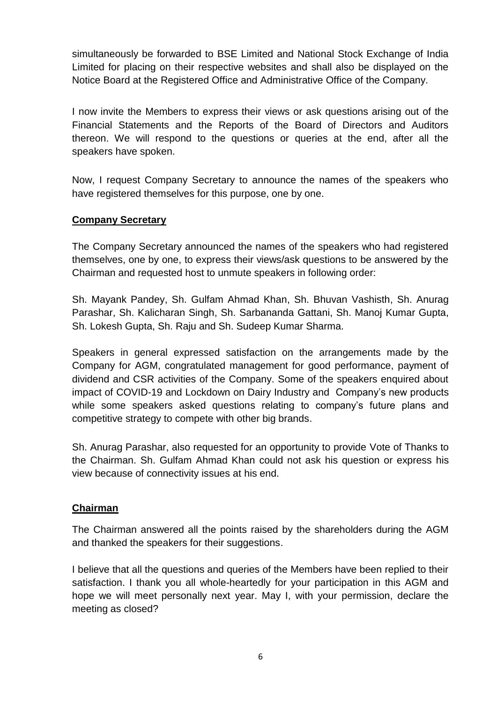simultaneously be forwarded to BSE Limited and National Stock Exchange of India Limited for placing on their respective websites and shall also be displayed on the Notice Board at the Registered Office and Administrative Office of the Company.

I now invite the Members to express their views or ask questions arising out of the Financial Statements and the Reports of the Board of Directors and Auditors thereon. We will respond to the questions or queries at the end, after all the speakers have spoken.

Now, I request Company Secretary to announce the names of the speakers who have registered themselves for this purpose, one by one.

## **Company Secretary**

The Company Secretary announced the names of the speakers who had registered themselves, one by one, to express their views/ask questions to be answered by the Chairman and requested host to unmute speakers in following order:

Sh. Mayank Pandey, Sh. Gulfam Ahmad Khan, Sh. Bhuvan Vashisth, Sh. Anurag Parashar, Sh. Kalicharan Singh, Sh. Sarbananda Gattani, Sh. Manoj Kumar Gupta, Sh. Lokesh Gupta, Sh. Raju and Sh. Sudeep Kumar Sharma.

Speakers in general expressed satisfaction on the arrangements made by the Company for AGM, congratulated management for good performance, payment of dividend and CSR activities of the Company. Some of the speakers enquired about impact of COVID-19 and Lockdown on Dairy Industry and Company's new products while some speakers asked questions relating to company's future plans and competitive strategy to compete with other big brands.

Sh. Anurag Parashar, also requested for an opportunity to provide Vote of Thanks to the Chairman. Sh. Gulfam Ahmad Khan could not ask his question or express his view because of connectivity issues at his end.

## **Chairman**

The Chairman answered all the points raised by the shareholders during the AGM and thanked the speakers for their suggestions.

I believe that all the questions and queries of the Members have been replied to their satisfaction. I thank you all whole-heartedly for your participation in this AGM and hope we will meet personally next year. May I, with your permission, declare the meeting as closed?